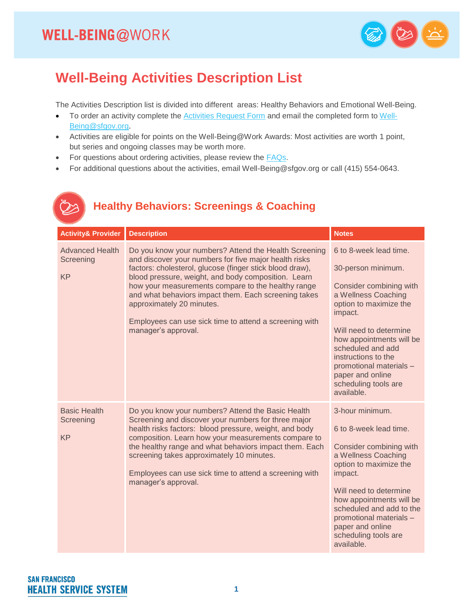B



#### **Well-Being Activities Description List**

The Activities Description list is divided into different areas: Healthy Behaviors and Emotional Well-Being.

- To order an activity complete the **Activities Request Form** and email the completed form to [Well-](mailto:Well-Being@sfgov.org)[Being@sfgov.org.](mailto:Well-Being@sfgov.org)
- Activities are eligible for points on the Well-Being@Work Awards: Most activities are worth 1 point, but series and ongoing classes may be worth more.
- For questions about ordering activities, please review the **FAQs**.
- For additional questions about the activities, email Well-Being@sfgov.org or call (415) 554-0643.

#### **Healthy Behaviors: Screenings & Coaching**

| <b>Activity&amp; Provider</b>                    | <b>Description</b>                                                                                                                                                                                                                                                                                                                                                                                                                                            | <b>Notes</b>                                                                                                                                                                                                                                                                                                               |
|--------------------------------------------------|---------------------------------------------------------------------------------------------------------------------------------------------------------------------------------------------------------------------------------------------------------------------------------------------------------------------------------------------------------------------------------------------------------------------------------------------------------------|----------------------------------------------------------------------------------------------------------------------------------------------------------------------------------------------------------------------------------------------------------------------------------------------------------------------------|
| <b>Advanced Health</b><br>Screening<br><b>KP</b> | Do you know your numbers? Attend the Health Screening<br>and discover your numbers for five major health risks<br>factors: cholesterol, glucose (finger stick blood draw),<br>blood pressure, weight, and body composition. Learn<br>how your measurements compare to the healthy range<br>and what behaviors impact them. Each screening takes<br>approximately 20 minutes.<br>Employees can use sick time to attend a screening with<br>manager's approval. | 6 to 8-week lead time.<br>30-person minimum.<br>Consider combining with<br>a Wellness Coaching<br>option to maximize the<br>impact.<br>Will need to determine<br>how appointments will be<br>scheduled and add<br>instructions to the<br>promotional materials -<br>paper and online<br>scheduling tools are<br>available. |
| <b>Basic Health</b><br>Screening<br><b>KP</b>    | Do you know your numbers? Attend the Basic Health<br>Screening and discover your numbers for three major<br>health risks factors: blood pressure, weight, and body<br>composition. Learn how your measurements compare to<br>the healthy range and what behaviors impact them. Each<br>screening takes approximately 10 minutes.<br>Employees can use sick time to attend a screening with<br>manager's approval.                                             | 3-hour minimum.<br>6 to 8-week lead time.<br>Consider combining with<br>a Wellness Coaching<br>option to maximize the<br>impact.<br>Will need to determine<br>how appointments will be<br>scheduled and add to the<br>promotional materials -<br>paper and online<br>scheduling tools are<br>available.                    |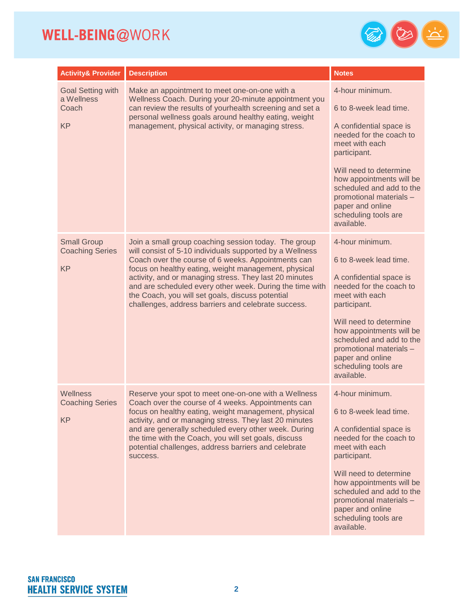

| <b>Activity&amp; Provider</b>                                | <b>Description</b>                                                                                                                                                                                                                                                                                                                                                                                                                                              | <b>Notes</b>                                                                                                                                                                                                                                                                                             |
|--------------------------------------------------------------|-----------------------------------------------------------------------------------------------------------------------------------------------------------------------------------------------------------------------------------------------------------------------------------------------------------------------------------------------------------------------------------------------------------------------------------------------------------------|----------------------------------------------------------------------------------------------------------------------------------------------------------------------------------------------------------------------------------------------------------------------------------------------------------|
| <b>Goal Setting with</b><br>a Wellness<br>Coach<br><b>KP</b> | Make an appointment to meet one-on-one with a<br>Wellness Coach. During your 20-minute appointment you<br>can review the results of yourhealth screening and set a<br>personal wellness goals around healthy eating, weight<br>management, physical activity, or managing stress.                                                                                                                                                                               | 4-hour minimum.<br>6 to 8-week lead time.<br>A confidential space is<br>needed for the coach to<br>meet with each<br>participant.<br>Will need to determine<br>how appointments will be<br>scheduled and add to the<br>promotional materials -<br>paper and online<br>scheduling tools are<br>available. |
| <b>Small Group</b><br><b>Coaching Series</b><br><b>KP</b>    | Join a small group coaching session today. The group<br>will consist of 5-10 individuals supported by a Wellness<br>Coach over the course of 6 weeks. Appointments can<br>focus on healthy eating, weight management, physical<br>activity, and or managing stress. They last 20 minutes<br>and are scheduled every other week. During the time with<br>the Coach, you will set goals, discuss potential<br>challenges, address barriers and celebrate success. | 4-hour minimum.<br>6 to 8-week lead time.<br>A confidential space is<br>needed for the coach to<br>meet with each<br>participant.<br>Will need to determine<br>how appointments will be<br>scheduled and add to the<br>promotional materials -<br>paper and online<br>scheduling tools are<br>available. |
| Wellness<br><b>Coaching Series</b><br><b>KP</b>              | Reserve your spot to meet one-on-one with a Wellness<br>Coach over the course of 4 weeks. Appointments can<br>focus on healthy eating, weight management, physical<br>activity, and or managing stress. They last 20 minutes<br>and are generally scheduled every other week. During<br>the time with the Coach, you will set goals, discuss<br>potential challenges, address barriers and celebrate<br>success.                                                | 4-hour minimum.<br>6 to 8-week lead time.<br>A confidential space is<br>needed for the coach to<br>meet with each<br>participant.<br>Will need to determine<br>how appointments will be<br>scheduled and add to the<br>promotional materials -<br>paper and online<br>scheduling tools are<br>available. |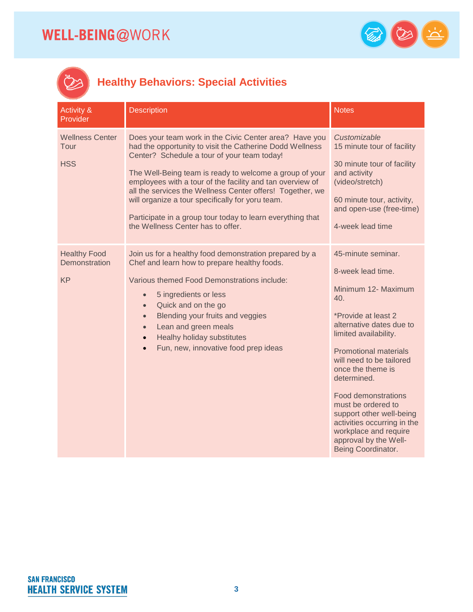

# $\mathbb{Z}$

#### **Healthy Behaviors: Special Activities**

| <b>Activity &amp;</b><br>Provider                 | <b>Description</b>                                                                                                                                                                                                                                                                                                                                                                                                                                                                                            | <b>Notes</b>                                                                                                                                                                                                                                                                                                                                                                                                                             |
|---------------------------------------------------|---------------------------------------------------------------------------------------------------------------------------------------------------------------------------------------------------------------------------------------------------------------------------------------------------------------------------------------------------------------------------------------------------------------------------------------------------------------------------------------------------------------|------------------------------------------------------------------------------------------------------------------------------------------------------------------------------------------------------------------------------------------------------------------------------------------------------------------------------------------------------------------------------------------------------------------------------------------|
| <b>Wellness Center</b><br>Tour<br><b>HSS</b>      | Does your team work in the Civic Center area? Have you<br>had the opportunity to visit the Catherine Dodd Wellness<br>Center? Schedule a tour of your team today!<br>The Well-Being team is ready to welcome a group of your<br>employees with a tour of the facility and tan overview of<br>all the services the Wellness Center offers! Together, we<br>will organize a tour specifically for yoru team.<br>Participate in a group tour today to learn everything that<br>the Wellness Center has to offer. | Customizable<br>15 minute tour of facility<br>30 minute tour of facility<br>and activity<br>(video/stretch)<br>60 minute tour, activity,<br>and open-use (free-time)<br>4-week lead time                                                                                                                                                                                                                                                 |
| <b>Healthy Food</b><br>Demonstration<br><b>KP</b> | Join us for a healthy food demonstration prepared by a<br>Chef and learn how to prepare healthy foods.<br>Various themed Food Demonstrations include:<br>5 ingredients or less<br>$\bullet$<br>Quick and on the go<br>$\bullet$<br>Blending your fruits and veggies<br>$\bullet$<br>Lean and green meals<br>$\bullet$<br>Healhy holiday substitutes<br>Fun, new, innovative food prep ideas                                                                                                                   | 45-minute seminar.<br>8-week lead time.<br>Minimum 12- Maximum<br>40.<br>*Provide at least 2<br>alternative dates due to<br>limited availability.<br><b>Promotional materials</b><br>will need to be tailored<br>once the theme is<br>determined.<br><b>Food demonstrations</b><br>must be ordered to<br>support other well-being<br>activities occurring in the<br>workplace and require<br>approval by the Well-<br>Being Coordinator. |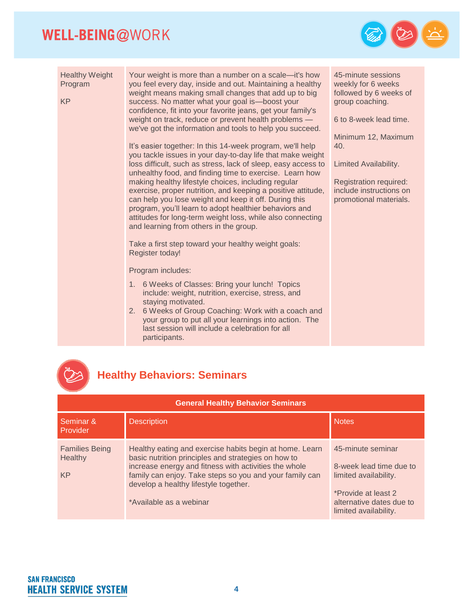

Healthy Weight Program KP Your weight is more than a number on a scale—it's how you feel every day, inside and out. Maintaining a healthy weight means making small changes that add up to big success. No matter what your goal is—boost your confidence, fit into your favorite jeans, get your family's weight on track, reduce or prevent health problems we've got the information and tools to help you succeed. It's easier together: In this 14-week program, we'll help you tackle issues in your day-to-day life that make weight loss difficult, such as stress, lack of sleep, easy access to unhealthy food, and finding time to exercise. Learn how making healthy lifestyle choices, including regular exercise, proper nutrition, and keeping a positive attitude, can help you lose weight and keep it off. During this program, you'll learn to adopt healthier behaviors and attitudes for long-term weight loss, while also connecting and learning from others in the group. Take a first step toward your healthy weight goals: Register today! Program includes: 1. 6 Weeks of Classes: Bring your lunch! Topics include: weight, nutrition, exercise, stress, and staying motivated. 2. 6 Weeks of Group Coaching: Work with a coach and your group to put all your learnings into action. The last session will include a celebration for all participants. 45-minute sessions weekly for 6 weeks followed by 6 weeks of group coaching. 6 to 8-week lead time. Minimum 12, Maximum 40. Limited Availability. Registration required: include instructions on promotional materials.



#### **Healthy Behaviors: Seminars**

| <b>General Healthy Behavior Seminars</b>      |                                                                                                                                                                                                                                                                                                        |                                                                                                                                                   |
|-----------------------------------------------|--------------------------------------------------------------------------------------------------------------------------------------------------------------------------------------------------------------------------------------------------------------------------------------------------------|---------------------------------------------------------------------------------------------------------------------------------------------------|
| Seminar &<br>Provider                         | <b>Description</b>                                                                                                                                                                                                                                                                                     | <b>Notes</b>                                                                                                                                      |
| <b>Families Being</b><br>Healthy<br><b>KP</b> | Healthy eating and exercise habits begin at home. Learn<br>basic nutrition principles and strategies on how to<br>increase energy and fitness with activities the whole<br>family can enjoy. Take steps so you and your family can<br>develop a healthy lifestyle together.<br>*Available as a webinar | 45-minute seminar<br>8-week lead time due to<br>limited availability.<br>*Provide at least 2<br>alternative dates due to<br>limited availability. |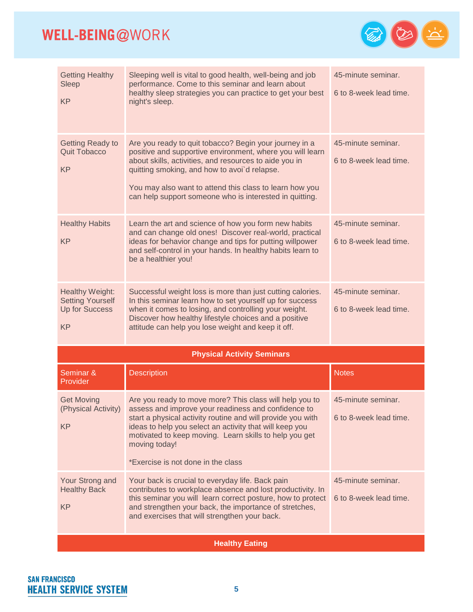

| <b>Getting Healthy</b><br>Sleep<br><b>KP</b>                                     | Sleeping well is vital to good health, well-being and job<br>performance. Come to this seminar and learn about<br>healthy sleep strategies you can practice to get your best<br>night's sleep.                                                                                                                                                            | 45-minute seminar.<br>6 to 8-week lead time. |
|----------------------------------------------------------------------------------|-----------------------------------------------------------------------------------------------------------------------------------------------------------------------------------------------------------------------------------------------------------------------------------------------------------------------------------------------------------|----------------------------------------------|
| <b>Getting Ready to</b><br><b>Quit Tobacco</b><br><b>KP</b>                      | Are you ready to quit tobacco? Begin your journey in a<br>positive and supportive environment, where you will learn<br>about skills, activities, and resources to aide you in<br>quitting smoking, and how to avoi'd relapse.<br>You may also want to attend this class to learn how you<br>can help support someone who is interested in quitting.       | 45-minute seminar.<br>6 to 8-week lead time. |
| <b>Healthy Habits</b><br><b>KP</b>                                               | Learn the art and science of how you form new habits<br>and can change old ones! Discover real-world, practical<br>ideas for behavior change and tips for putting willpower<br>and self-control in your hands. In healthy habits learn to<br>be a healthier you!                                                                                          | 45-minute seminar.<br>6 to 8-week lead time. |
| Healthy Weight:<br><b>Setting Yourself</b><br><b>Up for Success</b><br><b>KP</b> | Successful weight loss is more than just cutting calories.<br>In this seminar learn how to set yourself up for success<br>when it comes to losing, and controlling your weight.<br>Discover how healthy lifestyle choices and a positive<br>attitude can help you lose weight and keep it off.                                                            | 45-minute seminar.<br>6 to 8-week lead time. |
|                                                                                  | <b>Physical Activity Seminars</b>                                                                                                                                                                                                                                                                                                                         |                                              |
| Seminar &<br>Provider                                                            | <b>Description</b>                                                                                                                                                                                                                                                                                                                                        | <b>Notes</b>                                 |
| <b>Get Moving</b><br>(Physical Activity)<br><b>KP</b>                            | Are you ready to move more? This class will help you to<br>assess and improve your readiness and confidence to<br>start a physical activity routine and will provide you with<br>ideas to help you select an activity that will keep you<br>motivated to keep moving. Learn skills to help you get<br>moving today!<br>*Exercise is not done in the class | 45-minute seminar.<br>6 to 8-week lead time. |
| Your Strong and<br><b>Healthy Back</b><br><b>KP</b>                              | Your back is crucial to everyday life. Back pain<br>contributes to workplace absence and lost productivity. In<br>this seminar you will learn correct posture, how to protect<br>and strengthen your back, the importance of stretches,<br>and exercises that will strengthen your back.                                                                  | 45-minute seminar.<br>6 to 8-week lead time. |
|                                                                                  | <b>Healthy Eating</b>                                                                                                                                                                                                                                                                                                                                     |                                              |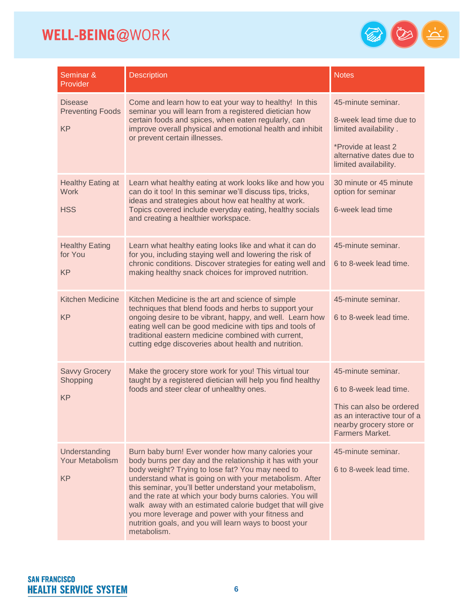

| Seminar &<br>Provider                                  | <b>Description</b>                                                                                                                                                                                                                                                                                                                                                                                                                                                                                                                              | <b>Notes</b>                                                                                                                                          |
|--------------------------------------------------------|-------------------------------------------------------------------------------------------------------------------------------------------------------------------------------------------------------------------------------------------------------------------------------------------------------------------------------------------------------------------------------------------------------------------------------------------------------------------------------------------------------------------------------------------------|-------------------------------------------------------------------------------------------------------------------------------------------------------|
| <b>Disease</b><br><b>Preventing Foods</b><br><b>KP</b> | Come and learn how to eat your way to healthy! In this<br>seminar you will learn from a registered dietician how<br>certain foods and spices, when eaten regularly, can<br>improve overall physical and emotional health and inhibit<br>or prevent certain illnesses.                                                                                                                                                                                                                                                                           | 45-minute seminar.<br>8-week lead time due to<br>limited availability.<br>*Provide at least 2<br>alternative dates due to<br>limited availability.    |
| <b>Healthy Eating at</b><br><b>Work</b><br><b>HSS</b>  | Learn what healthy eating at work looks like and how you<br>can do it too! In this seminar we'll discuss tips, tricks,<br>ideas and strategies about how eat healthy at work.<br>Topics covered include everyday eating, healthy socials<br>and creating a healthier workspace.                                                                                                                                                                                                                                                                 | 30 minute or 45 minute<br>option for seminar<br>6-week lead time                                                                                      |
| <b>Healthy Eating</b><br>for You<br><b>KP</b>          | Learn what healthy eating looks like and what it can do<br>for you, including staying well and lowering the risk of<br>chronic conditions. Discover strategies for eating well and<br>making healthy snack choices for improved nutrition.                                                                                                                                                                                                                                                                                                      | 45-minute seminar.<br>6 to 8-week lead time.                                                                                                          |
| <b>Kitchen Medicine</b><br><b>KP</b>                   | Kitchen Medicine is the art and science of simple<br>techniques that blend foods and herbs to support your<br>ongoing desire to be vibrant, happy, and well. Learn how<br>eating well can be good medicine with tips and tools of<br>traditional eastern medicine combined with current,<br>cutting edge discoveries about health and nutrition.                                                                                                                                                                                                | 45-minute seminar.<br>6 to 8-week lead time.                                                                                                          |
| <b>Savvy Grocery</b><br>Shopping<br><b>KP</b>          | Make the grocery store work for you! This virtual tour<br>taught by a registered dietician will help you find healthy<br>foods and steer clear of unhealthy ones.                                                                                                                                                                                                                                                                                                                                                                               | 45-minute seminar.<br>6 to 8-week lead time.<br>This can also be ordered<br>as an interactive tour of a<br>nearby grocery store or<br>Farmers Market. |
| Understanding<br><b>Your Metabolism</b><br><b>KP</b>   | Burn baby burn! Ever wonder how many calories your<br>body burns per day and the relationship it has with your<br>body weight? Trying to lose fat? You may need to<br>understand what is going on with your metabolism. After<br>this seminar, you'll better understand your metabolism,<br>and the rate at which your body burns calories. You will<br>walk away with an estimated calorie budget that will give<br>you more leverage and power with your fitness and<br>nutrition goals, and you will learn ways to boost your<br>metabolism. | 45-minute seminar.<br>6 to 8-week lead time.                                                                                                          |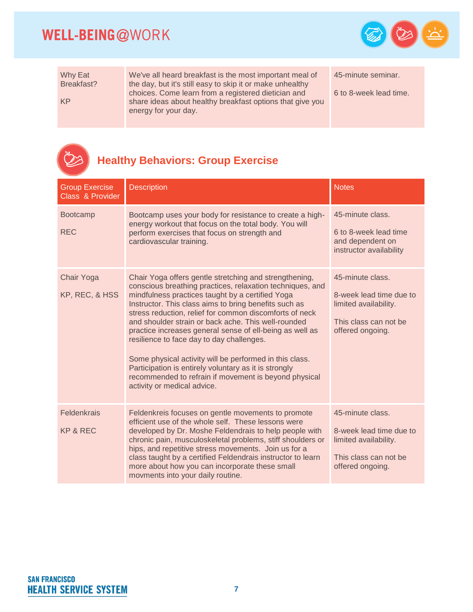$\mathbb{Z}$ 



| Why Eat<br>Breakfast? | We've all heard breakfast is the most important meal of<br>the day, but it's still easy to skip it or make unhealthy                     | 45-minute seminar.     |
|-----------------------|------------------------------------------------------------------------------------------------------------------------------------------|------------------------|
| KP                    | choices. Come learn from a registered dietician and<br>share ideas about healthy breakfast options that give you<br>energy for your day. | 6 to 8-week lead time. |

## **Healthy Behaviors: Group Exercise**

| <b>Group Exercise</b><br><b>Class &amp; Provider</b> | <b>Description</b>                                                                                                                                                                                                                                                                                                                                                                                                                                                                                                                                                                                                                                                      | <b>Notes</b>                                                                                                      |
|------------------------------------------------------|-------------------------------------------------------------------------------------------------------------------------------------------------------------------------------------------------------------------------------------------------------------------------------------------------------------------------------------------------------------------------------------------------------------------------------------------------------------------------------------------------------------------------------------------------------------------------------------------------------------------------------------------------------------------------|-------------------------------------------------------------------------------------------------------------------|
| <b>Bootcamp</b><br><b>REC</b>                        | Bootcamp uses your body for resistance to create a high-<br>energy workout that focus on the total body. You will<br>perform exercises that focus on strength and<br>cardiovascular training.                                                                                                                                                                                                                                                                                                                                                                                                                                                                           | 45-minute class.<br>6 to 8-week lead time<br>and dependent on<br>instructor availability                          |
| Chair Yoga<br>KP, REC, & HSS                         | Chair Yoga offers gentle stretching and strengthening,<br>conscious breathing practices, relaxation techniques, and<br>mindfulness practices taught by a certified Yoga<br>Instructor. This class aims to bring benefits such as<br>stress reduction, relief for common discomforts of neck<br>and shoulder strain or back ache. This well-rounded<br>practice increases general sense of ell-being as well as<br>resilience to face day to day challenges.<br>Some physical activity will be performed in this class.<br>Participation is entirely voluntary as it is strongly<br>recommended to refrain if movement is beyond physical<br>activity or medical advice. | 45-minute class.<br>8-week lead time due to<br>limited availability.<br>This class can not be<br>offered ongoing. |
| Feldenkrais<br>KP & REC                              | Feldenkreis focuses on gentle movements to promote<br>efficient use of the whole self. These lessons were<br>developed by Dr. Moshe Feldendrais to help people with<br>chronic pain, musculoskeletal problems, stiff shoulders or<br>hips, and repetitive stress movements. Join us for a<br>class taught by a certified Feldendrais instructor to learn<br>more about how you can incorporate these small<br>movments into your daily routine.                                                                                                                                                                                                                         | 45-minute class.<br>8-week lead time due to<br>limited availability.<br>This class can not be<br>offered ongoing. |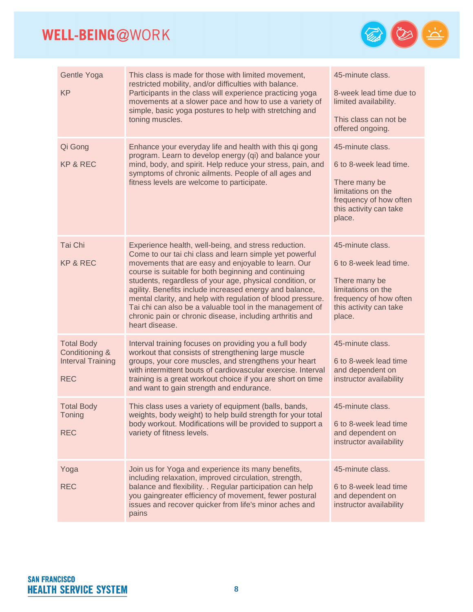

| Gentle Yoga<br><b>KP</b>                                                      | This class is made for those with limited movement,<br>restricted mobility, and/or difficulties with balance.<br>Participants in the class will experience practicing yoga<br>movements at a slower pace and how to use a variety of<br>simple, basic yoga postures to help with stretching and<br>toning muscles.                                                                                                                                                                                                                                             | 45-minute class.<br>8-week lead time due to<br>limited availability.<br>This class can not be<br>offered ongoing.                               |
|-------------------------------------------------------------------------------|----------------------------------------------------------------------------------------------------------------------------------------------------------------------------------------------------------------------------------------------------------------------------------------------------------------------------------------------------------------------------------------------------------------------------------------------------------------------------------------------------------------------------------------------------------------|-------------------------------------------------------------------------------------------------------------------------------------------------|
| Qi Gong<br><b>KP &amp; REC</b>                                                | Enhance your everyday life and health with this qi gong<br>program. Learn to develop energy (qi) and balance your<br>mind, body, and spirit. Help reduce your stress, pain, and<br>symptoms of chronic ailments. People of all ages and<br>fitness levels are welcome to participate.                                                                                                                                                                                                                                                                          | 45-minute class.<br>6 to 8-week lead time.<br>There many be<br>limitations on the<br>frequency of how often<br>this activity can take<br>place. |
| Tai Chi<br><b>KP &amp; REC</b>                                                | Experience health, well-being, and stress reduction.<br>Come to our tai chi class and learn simple yet powerful<br>movements that are easy and enjoyable to learn. Our<br>course is suitable for both beginning and continuing<br>students, regardless of your age, physical condition, or<br>agility. Benefits include increased energy and balance,<br>mental clarity, and help with regulation of blood pressure.<br>Tai chi can also be a valuable tool in the management of<br>chronic pain or chronic disease, including arthritis and<br>heart disease. | 45-minute class.<br>6 to 8-week lead time.<br>There many be<br>limitations on the<br>frequency of how often<br>this activity can take<br>place. |
| <b>Total Body</b><br>Conditioning &<br><b>Interval Training</b><br><b>REC</b> | Interval training focuses on providing you a full body<br>workout that consists of strengthening large muscle<br>groups, your core muscles, and strengthens your heart<br>with intermittent bouts of cardiovascular exercise. Interval<br>training is a great workout choice if you are short on time<br>and want to gain strength and endurance.                                                                                                                                                                                                              | 45-minute class.<br>6 to 8-week lead time<br>and dependent on<br>instructor availability                                                        |
| <b>Total Body</b><br>Toning<br><b>REC</b>                                     | This class uses a variety of equipment (balls, bands,<br>weights, body weight) to help build strength for your total<br>body workout. Modifications will be provided to support a<br>variety of fitness levels.                                                                                                                                                                                                                                                                                                                                                | 45-minute class.<br>6 to 8-week lead time<br>and dependent on<br>instructor availability                                                        |
| Yoga<br><b>REC</b>                                                            | Join us for Yoga and experience its many benefits,<br>including relaxation, improved circulation, strength,<br>balance and flexibility. . Regular participation can help<br>you gaingreater efficiency of movement, fewer postural<br>issues and recover quicker from life's minor aches and<br>pains                                                                                                                                                                                                                                                          | 45-minute class.<br>6 to 8-week lead time<br>and dependent on<br>instructor availability                                                        |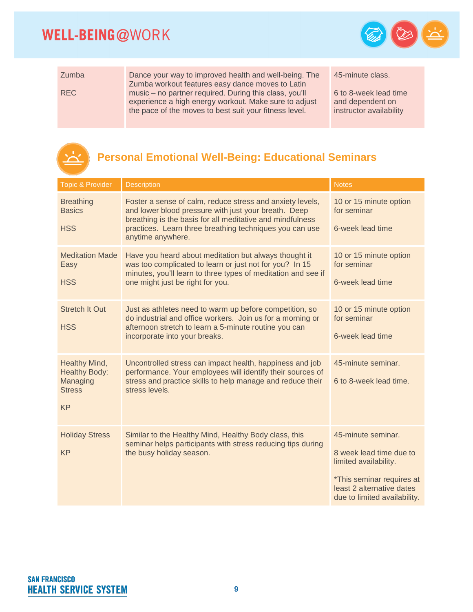<u>يب</u>



| Zumba      | Dance your way to improved health and well-being. The<br>Zumba workout features easy dance moves to Latin                                                                 | 45-minut                             |
|------------|---------------------------------------------------------------------------------------------------------------------------------------------------------------------------|--------------------------------------|
| <b>REC</b> | music – no partner required. During this class, you'll<br>experience a high energy workout. Make sure to adjust<br>the pace of the moves to best suit your fitness level. | $6$ to 8-we<br>and depe<br>instructo |

te class.

eek lead time endent on r availability

#### **Personal Emotional Well-Being: Educational Seminars**

| <b>Topic &amp; Provider</b>                                                     | <b>Description</b>                                                                                                                                                                                                                                             | <b>Notes</b>                                                                                                                                                     |
|---------------------------------------------------------------------------------|----------------------------------------------------------------------------------------------------------------------------------------------------------------------------------------------------------------------------------------------------------------|------------------------------------------------------------------------------------------------------------------------------------------------------------------|
| <b>Breathing</b><br><b>Basics</b><br><b>HSS</b>                                 | Foster a sense of calm, reduce stress and anxiety levels,<br>and lower blood pressure with just your breath. Deep<br>breathing is the basis for all meditative and mindfulness<br>practices. Learn three breathing techniques you can use<br>anytime anywhere. | 10 or 15 minute option<br>for seminar<br>6-week lead time                                                                                                        |
| <b>Meditation Made</b><br>Easy<br><b>HSS</b>                                    | Have you heard about meditation but always thought it<br>was too complicated to learn or just not for you? In 15<br>minutes, you'll learn to three types of meditation and see if<br>one might just be right for you.                                          | 10 or 15 minute option<br>for seminar<br>6-week lead time                                                                                                        |
| <b>Stretch It Out</b><br><b>HSS</b>                                             | Just as athletes need to warm up before competition, so<br>do industrial and office workers. Join us for a morning or<br>afternoon stretch to learn a 5-minute routine you can<br>incorporate into your breaks.                                                | 10 or 15 minute option<br>for seminar<br>6-week lead time                                                                                                        |
| Healthy Mind,<br><b>Healthy Body:</b><br>Managing<br><b>Stress</b><br><b>KP</b> | Uncontrolled stress can impact health, happiness and job<br>performance. Your employees will identify their sources of<br>stress and practice skills to help manage and reduce their<br>stress levels.                                                         | 45-minute seminar.<br>6 to 8-week lead time.                                                                                                                     |
| <b>Holiday Stress</b><br><b>KP</b>                                              | Similar to the Healthy Mind, Healthy Body class, this<br>seminar helps participants with stress reducing tips during<br>the busy holiday season.                                                                                                               | 45-minute seminar.<br>8 week lead time due to<br>limited availability.<br>*This seminar requires at<br>least 2 alternative dates<br>due to limited availability. |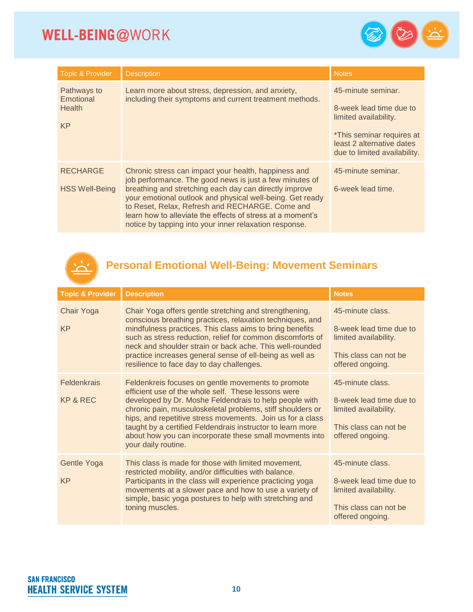

| <b>Topic &amp; Provider</b>                            | <b>Description</b>                                                                                                                                                                                                                                                                                                                                                                                                | <b>Notes</b>                                                                                                                                                            |
|--------------------------------------------------------|-------------------------------------------------------------------------------------------------------------------------------------------------------------------------------------------------------------------------------------------------------------------------------------------------------------------------------------------------------------------------------------------------------------------|-------------------------------------------------------------------------------------------------------------------------------------------------------------------------|
| Pathways to<br>Emotional<br><b>Health</b><br><b>KP</b> | Learn more about stress, depression, and anxiety,<br>including their symptoms and current treatment methods.                                                                                                                                                                                                                                                                                                      | 45-minute seminar.<br>8-week lead time due to<br>limited availability.<br><i>*This seminar requires at</i><br>least 2 alternative dates<br>due to limited availability. |
| <b>RECHARGE</b><br><b>HSS Well-Being</b>               | Chronic stress can impact your health, happiness and<br>job performance. The good news is just a few minutes of<br>breathing and stretching each day can directly improve<br>your emotional outlook and physical well-being. Get ready<br>to Reset, Relax, Refresh and RECHARGE. Come and<br>learn how to alleviate the effects of stress at a moment's<br>notice by tapping into your inner relaxation response. | 45-minute seminar.<br>6-week lead time.                                                                                                                                 |



#### **Personal Emotional Well-Being: Movement Seminars**

| <b>Topic &amp; Provider</b> | <b>Description</b>                                                                                                                                                                                                                                                                                                                                                                                                                              | <b>Notes</b>                                                                                                      |
|-----------------------------|-------------------------------------------------------------------------------------------------------------------------------------------------------------------------------------------------------------------------------------------------------------------------------------------------------------------------------------------------------------------------------------------------------------------------------------------------|-------------------------------------------------------------------------------------------------------------------|
| Chair Yoga<br><b>KP</b>     | Chair Yoga offers gentle stretching and strengthening,<br>conscious breathing practices, relaxation techniques, and<br>mindfulness practices. This class aims to bring benefits<br>such as stress reduction, relief for common discomforts of<br>neck and shoulder strain or back ache. This well-rounded<br>practice increases general sense of ell-being as well as<br>resilience to face day to day challenges.                              | 45-minute class.<br>8-week lead time due to<br>limited availability.<br>This class can not be<br>offered ongoing. |
| Feldenkrais<br>KP & REC     | Feldenkreis focuses on gentle movements to promote<br>efficient use of the whole self. These lessons were<br>developed by Dr. Moshe Feldendrais to help people with<br>chronic pain, musculoskeletal problems, stiff shoulders or<br>hips, and repetitive stress movements. Join us for a class<br>taught by a certified Feldendrais instructor to learn more<br>about how you can incorporate these small movments into<br>your daily routine. | 45-minute class.<br>8-week lead time due to<br>limited availability.<br>This class can not be<br>offered ongoing. |
| Gentle Yoga<br><b>KP</b>    | This class is made for those with limited movement,<br>restricted mobility, and/or difficulties with balance.<br>Participants in the class will experience practicing yoga<br>movements at a slower pace and how to use a variety of<br>simple, basic yoga postures to help with stretching and<br>toning muscles.                                                                                                                              | 45-minute class.<br>8-week lead time due to<br>limited availability.<br>This class can not be<br>offered ongoing. |